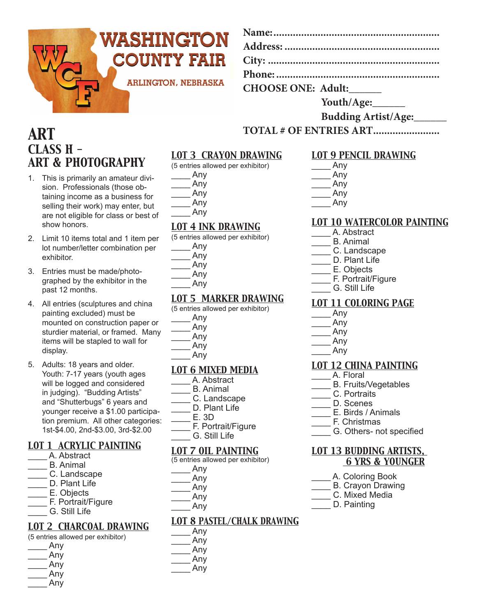

| <b>CHOOSE ONE: Adult:</b> |  |
|---------------------------|--|

**Youth/Age:\_\_\_\_\_\_**

#### **Budding Artist/Age:\_\_\_\_\_\_**

**TOTAL # OF ENTRIES ART........................**

# *ART CLASS H - ART & PHOTOGRAPHY*

- 1. This is primarily an amateur division. Professionals (those obtaining income as a business for selling their work) may enter, but are not eligible for class or best of show honors.
- 2. Limit 10 items total and 1 item per lot number/letter combination per exhibitor.
- 3. Entries must be made/photographed by the exhibitor in the past 12 months.
- 4. All entries (sculptures and china painting excluded) must be mounted on construction paper or sturdier material, or framed. Many items will be stapled to wall for display.
- 5. Adults: 18 years and older. Youth: 7-17 years (youth ages will be logged and considered in judging). "Budding Artists" and "Shutterbugs" 6 years and younger receive a \$1.00 participation premium. All other categories: 1st-\$4.00, 2nd-\$3.00, 3rd-\$2.00

## *LOT 1 ACRYLIC PAINTING*

- \_\_\_\_ A. Abstract
- B. Animal
- \_\_\_\_ C. Landscape
- D. Plant Life
- \_\_\_\_ E. Objects
- \_\_\_\_ F. Portrait/Figure
- \_\_\_\_ G. Still Life

#### *LOT 2 CHARCOAL DRAWING*

- (5 entries allowed per exhibitor)
- \_\_\_\_ Any
- \_\_\_\_ Any
- \_\_\_\_ Any \_\_\_\_ Any
- \_\_\_\_ Any

## *LOT 3 CRAYON DRAWING*

(5 entries allowed per exhibitor)

\_\_\_\_ Any \_\_\_\_ Any \_\_\_\_ Any \_\_\_\_ Any

\_\_\_\_ Any

## *LOT 4 INK DRAWING*

(5 entries allowed per exhibitor) \_\_\_\_ Any \_\_\_\_ Any \_\_\_\_ Any \_\_\_\_ Any \_\_\_\_ Any

## *LOT 5 MARKER DRAWING*

(5 entries allowed per exhibitor)

| Any |
|-----|
| Any |
| Any |
| Any |

\_\_\_\_ Any

## *LOT 6 MIXED MEDIA*

- \_\_\_\_ A. Abstract
- B. Animal
- \_\_\_\_ C. Landscape
- D. Plant Life
- $F$  3D
- F. Portrait/Figure G. Still Life
- *LOT 7 OIL PAINTING*
- (5 entries allowed per exhibitor)

- \_\_\_\_ Any
- \_\_\_\_ Any
- \_\_\_\_ Any \_\_\_\_ Any
- 

## *LOT 8 PASTEL/CHALK DRAWING*

\_\_\_\_ Any \_\_\_\_ Any \_\_\_\_ Any \_\_\_\_ Any \_\_\_\_ Any

## *LOT 9 PENCIL DRAWING*

| Any |
|-----|
| Any |
| Any |
|     |

\_\_\_\_ Any \_\_\_\_ Any

## *LOT 10 WATERCOLOR PAINTING*

- \_\_\_\_ A. Abstract
- \_\_\_\_ B. Animal
- C. Landscape
- \_\_\_\_ D. Plant Life
	- E. Objects
- F. Portrait/Figure
- \_\_\_\_ G. Still Life

## *LOT 11 COLORING PAGE*

- \_\_\_\_ Any \_\_\_\_ Any
- 
- \_\_\_\_ Any \_\_\_\_ Any
- \_\_\_\_ Any
- 

## *LOT 12 CHINA PAINTING*

- A. Floral
- B. Fruits/Vegetables
- C. Portraits
- D. Scenes
- $\overline{\phantom{a}}$  E. Birds / Animals
- \_\_\_\_ F. Christmas
- \_\_\_\_ G. Others- not specified

#### *LOT 13 BUDDING ARTISTS, 6 YRS & YOUNGER*

- \_\_\_\_ A. Coloring Book
- \_\_\_\_ B. Crayon Drawing
- C. Mixed Media
- D. Painting